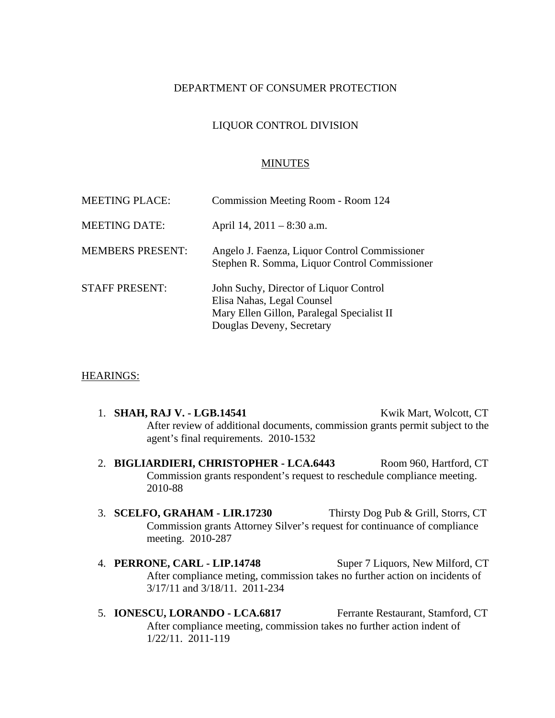# DEPARTMENT OF CONSUMER PROTECTION

# LIQUOR CONTROL DIVISION

#### MINUTES

| <b>MEETING PLACE:</b>   | Commission Meeting Room - Room 124                                                                                                              |
|-------------------------|-------------------------------------------------------------------------------------------------------------------------------------------------|
| <b>MEETING DATE:</b>    | April 14, $2011 - 8:30$ a.m.                                                                                                                    |
| <b>MEMBERS PRESENT:</b> | Angelo J. Faenza, Liquor Control Commissioner<br>Stephen R. Somma, Liquor Control Commissioner                                                  |
| <b>STAFF PRESENT:</b>   | John Suchy, Director of Liquor Control<br>Elisa Nahas, Legal Counsel<br>Mary Ellen Gillon, Paralegal Specialist II<br>Douglas Deveny, Secretary |

#### HEARINGS:

- 1. **SHAH, RAJ V. LGB.14541** Kwik Mart, Wolcott, CT After review of additional documents, commission grants permit subject to the agent's final requirements. 2010-1532
- 2. BIGLIARDIERI, CHRISTOPHER LCA.6443 Room 960, Hartford, CT Commission grants respondent's request to reschedule compliance meeting. 2010-88
- 3. **SCELFO, GRAHAM LIR.17230** Thirsty Dog Pub & Grill, Storrs, CT Commission grants Attorney Silver's request for continuance of compliance meeting. 2010-287
- 4. **PERRONE, CARL LIP.14748** Super 7 Liquors, New Milford, CT After compliance meting, commission takes no further action on incidents of 3/17/11 and 3/18/11. 2011-234
- 5. **IONESCU, LORANDO LCA.6817** Ferrante Restaurant, Stamford, CT After compliance meeting, commission takes no further action indent of 1/22/11. 2011-119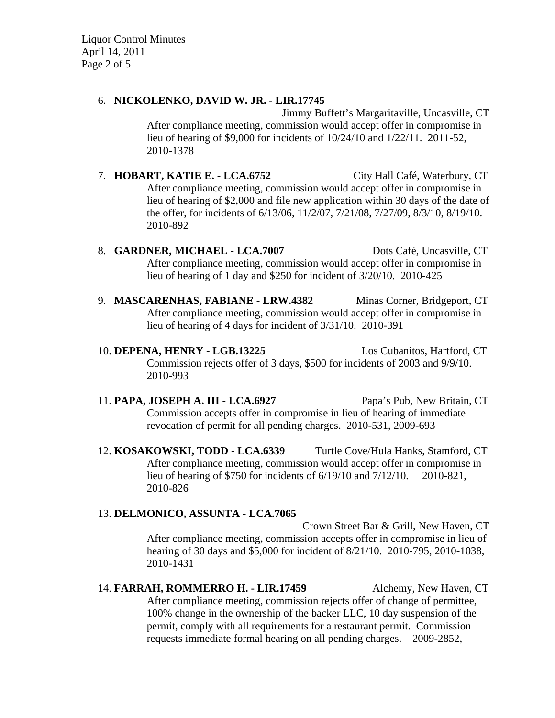Liquor Control Minutes April 14, 2011 Page 2 of 5

# 6. **NICKOLENKO, DAVID W. JR. - LIR.17745**

Jimmy Buffett's Margaritaville, Uncasville, CT After compliance meeting, commission would accept offer in compromise in lieu of hearing of \$9,000 for incidents of 10/24/10 and 1/22/11. 2011-52, 2010-1378

7. **HOBART, KATIE E. - LCA.6752** City Hall Café, Waterbury, CT After compliance meeting, commission would accept offer in compromise in lieu of hearing of \$2,000 and file new application within 30 days of the date of the offer, for incidents of 6/13/06, 11/2/07, 7/21/08, 7/27/09, 8/3/10, 8/19/10. 2010-892

8. **GARDNER, MICHAEL - LCA.7007** Dots Café, Uncasville, CT After compliance meeting, commission would accept offer in compromise in lieu of hearing of 1 day and \$250 for incident of 3/20/10. 2010-425

9. **MASCARENHAS, FABIANE - LRW.4382** Minas Corner, Bridgeport, CT After compliance meeting, commission would accept offer in compromise in lieu of hearing of 4 days for incident of 3/31/10. 2010-391

10. **DEPENA, HENRY - LGB.13225** Los Cubanitos, Hartford, CT Commission rejects offer of 3 days, \$500 for incidents of 2003 and 9/9/10. 2010-993

11. **PAPA, JOSEPH A. III - LCA.6927** Papa's Pub, New Britain, CT Commission accepts offer in compromise in lieu of hearing of immediate revocation of permit for all pending charges. 2010-531, 2009-693

12. **KOSAKOWSKI, TODD - LCA.6339** Turtle Cove/Hula Hanks, Stamford, CT After compliance meeting, commission would accept offer in compromise in lieu of hearing of \$750 for incidents of 6/19/10 and 7/12/10. 2010-821, 2010-826

### 13. **DELMONICO, ASSUNTA - LCA.7065**

Crown Street Bar & Grill, New Haven, CT After compliance meeting, commission accepts offer in compromise in lieu of hearing of 30 days and \$5,000 for incident of 8/21/10. 2010-795, 2010-1038, 2010-1431

14. **FARRAH, ROMMERRO H. - LIR.17459** Alchemy, New Haven, CT After compliance meeting, commission rejects offer of change of permittee, 100% change in the ownership of the backer LLC, 10 day suspension of the permit, comply with all requirements for a restaurant permit. Commission requests immediate formal hearing on all pending charges. 2009-2852,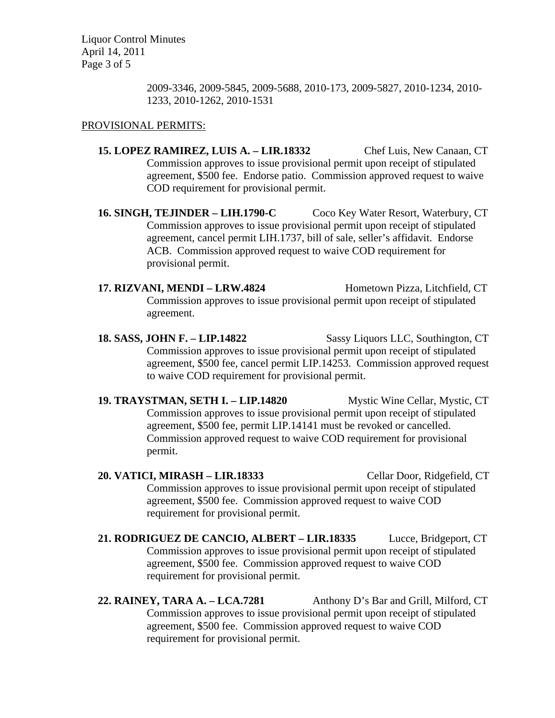Liquor Control Minutes April 14, 2011 Page 3 of 5

> 2009-3346, 2009-5845, 2009-5688, 2010-173, 2009-5827, 2010-1234, 2010- 1233, 2010-1262, 2010-1531

# PROVISIONAL PERMITS:

- **15. LOPEZ RAMIREZ, LUIS A. LIR.18332** Chef Luis, New Canaan, CT Commission approves to issue provisional permit upon receipt of stipulated agreement, \$500 fee. Endorse patio. Commission approved request to waive COD requirement for provisional permit.
- **16. SINGH, TEJINDER LIH.1790-C** Coco Key Water Resort, Waterbury, CT Commission approves to issue provisional permit upon receipt of stipulated agreement, cancel permit LIH.1737, bill of sale, seller's affidavit. Endorse ACB. Commission approved request to waive COD requirement for provisional permit.
- 17. RIZVANI, MENDI LRW.4824 Hometown Pizza, Litchfield, CT Commission approves to issue provisional permit upon receipt of stipulated agreement.
- **18. SASS, JOHN F. LIP.14822** Sassy Liquors LLC, Southington, CT Commission approves to issue provisional permit upon receipt of stipulated agreement, \$500 fee, cancel permit LIP.14253. Commission approved request to waive COD requirement for provisional permit.
- **19. TRAYSTMAN, SETH I. LIP.14820** Mystic Wine Cellar, Mystic, CT Commission approves to issue provisional permit upon receipt of stipulated agreement, \$500 fee, permit LIP.14141 must be revoked or cancelled. Commission approved request to waive COD requirement for provisional permit.
- **20. VATICI, MIRASH LIR.18333** Cellar Door, Ridgefield, CT Commission approves to issue provisional permit upon receipt of stipulated agreement, \$500 fee. Commission approved request to waive COD requirement for provisional permit.
- **21. RODRIGUEZ DE CANCIO, ALBERT LIR.18335** Lucce, Bridgeport, CT Commission approves to issue provisional permit upon receipt of stipulated agreement, \$500 fee. Commission approved request to waive COD requirement for provisional permit.
- **22. RAINEY, TARA A. LCA.7281** Anthony D's Bar and Grill, Milford, CT Commission approves to issue provisional permit upon receipt of stipulated agreement, \$500 fee. Commission approved request to waive COD requirement for provisional permit.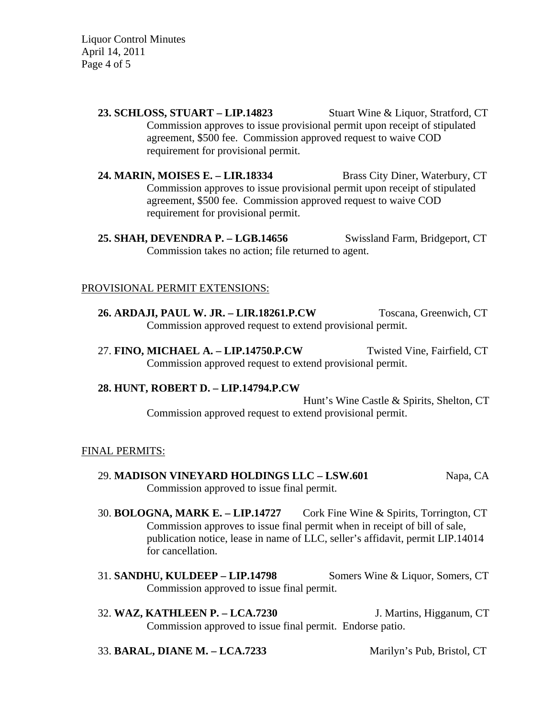Liquor Control Minutes April 14, 2011 Page 4 of 5

> **23. SCHLOSS, STUART – LIP.14823** Stuart Wine & Liquor, Stratford, CT Commission approves to issue provisional permit upon receipt of stipulated agreement, \$500 fee. Commission approved request to waive COD requirement for provisional permit.

> **24. MARIN, MOISES E. – LIR.18334** Brass City Diner, Waterbury, CT Commission approves to issue provisional permit upon receipt of stipulated agreement, \$500 fee. Commission approved request to waive COD requirement for provisional permit.

> **25. SHAH, DEVENDRA P. – LGB.14656** Swissland Farm, Bridgeport, CT Commission takes no action; file returned to agent.

### PROVISIONAL PERMIT EXTENSIONS:

**26. ARDAJI, PAUL W. JR. – LIR.18261.P.CW** Toscana, Greenwich, CT Commission approved request to extend provisional permit.

27. **FINO, MICHAEL A. – LIP.14750.P.CW** Twisted Vine, Fairfield, CT Commission approved request to extend provisional permit.

### **28. HUNT, ROBERT D. – LIP.14794.P.CW**

Hunt's Wine Castle & Spirits, Shelton, CT Commission approved request to extend provisional permit.

### FINAL PERMITS:

- 29. **MADISON VINEYARD HOLDINGS LLC LSW.601** Napa, CA Commission approved to issue final permit.
- 30. **BOLOGNA, MARK E. LIP.14727** Cork Fine Wine & Spirits, Torrington, CT Commission approves to issue final permit when in receipt of bill of sale, publication notice, lease in name of LLC, seller's affidavit, permit LIP.14014 for cancellation.
- 31. **SANDHU, KULDEEP LIP.14798** Somers Wine & Liquor, Somers, CT Commission approved to issue final permit.
- 32. **WAZ, KATHLEEN P. LCA.7230** J. Martins, Higganum, CT Commission approved to issue final permit. Endorse patio.

### 33. **BARAL, DIANE M. – LCA.7233** Marilyn's Pub, Bristol, CT